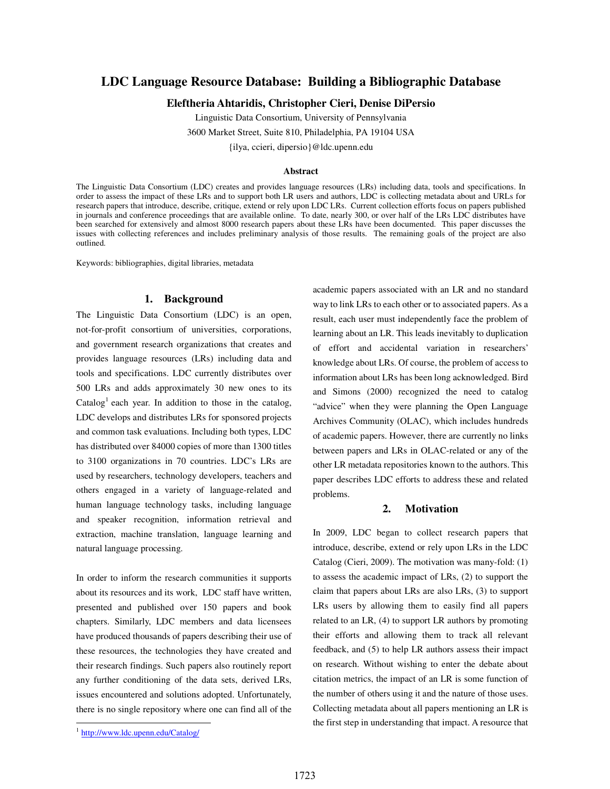# **LDC Language Resource Database: Building a Bibliographic Database**

**Eleftheria Ahtaridis, Christopher Cieri, Denise DiPersio** 

Linguistic Data Consortium, University of Pennsylvania

3600 Market Street, Suite 810, Philadelphia, PA 19104 USA

{ilya, ccieri, dipersio}@ldc.upenn.edu

#### **Abstract**

The Linguistic Data Consortium (LDC) creates and provides language resources (LRs) including data, tools and specifications. In order to assess the impact of these LRs and to support both LR users and authors, LDC is collecting metadata about and URLs for research papers that introduce, describe, critique, extend or rely upon LDC LRs. Current collection efforts focus on papers published in journals and conference proceedings that are available online. To date, nearly 300, or over half of the LRs LDC distributes have been searched for extensively and almost 8000 research papers about these LRs have been documented. This paper discusses the issues with collecting references and includes preliminary analysis of those results. The remaining goals of the project are also outlined.

Keywords: bibliographies, digital libraries, metadata

#### **1. Background**

The Linguistic Data Consortium (LDC) is an open, not-for-profit consortium of universities, corporations, and government research organizations that creates and provides language resources (LRs) including data and tools and specifications. LDC currently distributes over 500 LRs and adds approximately 30 new ones to its Catalog<sup>1</sup> each year. In addition to those in the catalog, LDC develops and distributes LRs for sponsored projects and common task evaluations. Including both types, LDC has distributed over 84000 copies of more than 1300 titles to 3100 organizations in 70 countries. LDC's LRs are used by researchers, technology developers, teachers and others engaged in a variety of language-related and human language technology tasks, including language and speaker recognition, information retrieval and extraction, machine translation, language learning and natural language processing.

In order to inform the research communities it supports about its resources and its work, LDC staff have written, presented and published over 150 papers and book chapters. Similarly, LDC members and data licensees have produced thousands of papers describing their use of these resources, the technologies they have created and their research findings. Such papers also routinely report any further conditioning of the data sets, derived LRs, issues encountered and solutions adopted. Unfortunately, there is no single repository where one can find all of the academic papers associated with an LR and no standard way to link LRs to each other or to associated papers. As a

## **2. Motivation**

In 2009, LDC began to collect research papers that introduce, describe, extend or rely upon LRs in the LDC Catalog (Cieri, 2009). The motivation was many-fold: (1) to assess the academic impact of LRs, (2) to support the claim that papers about LRs are also LRs, (3) to support LRs users by allowing them to easily find all papers related to an LR, (4) to support LR authors by promoting their efforts and allowing them to track all relevant feedback, and (5) to help LR authors assess their impact on research. Without wishing to enter the debate about citation metrics, the impact of an LR is some function of the number of others using it and the nature of those uses. Collecting metadata about all papers mentioning an LR is the first step in understanding that impact. A resource that

 $\overline{a}$ 

result, each user must independently face the problem of learning about an LR. This leads inevitably to duplication of effort and accidental variation in researchers' knowledge about LRs. Of course, the problem of access to information about LRs has been long acknowledged. Bird and Simons (2000) recognized the need to catalog "advice" when they were planning the Open Language Archives Community (OLAC), which includes hundreds of academic papers. However, there are currently no links between papers and LRs in OLAC-related or any of the other LR metadata repositories known to the authors. This paper describes LDC efforts to address these and related problems.

<sup>&</sup>lt;sup>1</sup> http://www.ldc.upenn.edu/Catalog/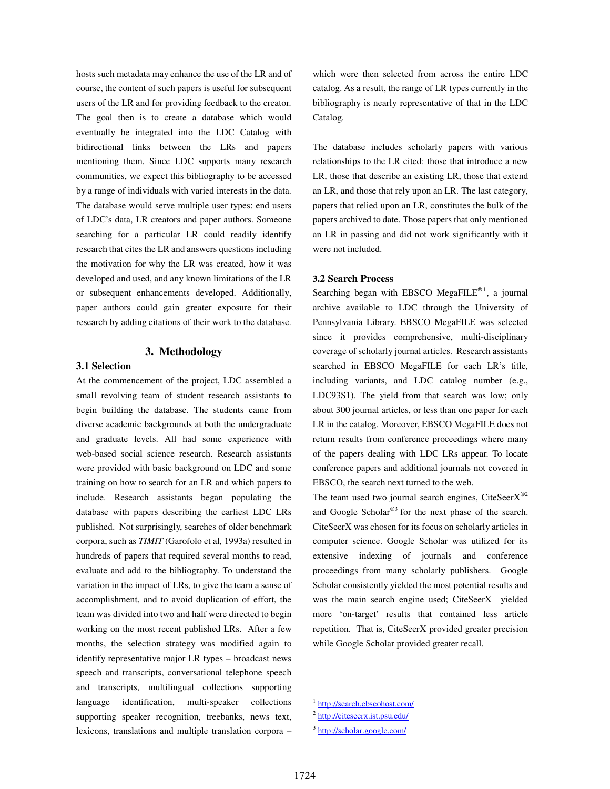hosts such metadata may enhance the use of the LR and of course, the content of such papers is useful for subsequent users of the LR and for providing feedback to the creator. The goal then is to create a database which would eventually be integrated into the LDC Catalog with bidirectional links between the LRs and papers mentioning them. Since LDC supports many research communities, we expect this bibliography to be accessed by a range of individuals with varied interests in the data. The database would serve multiple user types: end users of LDC's data, LR creators and paper authors. Someone searching for a particular LR could readily identify research that cites the LR and answers questions including the motivation for why the LR was created, how it was developed and used, and any known limitations of the LR or subsequent enhancements developed. Additionally, paper authors could gain greater exposure for their research by adding citations of their work to the database.

#### **3. Methodology**

## **3.1 Selection**

At the commencement of the project, LDC assembled a small revolving team of student research assistants to begin building the database. The students came from diverse academic backgrounds at both the undergraduate and graduate levels. All had some experience with web-based social science research. Research assistants were provided with basic background on LDC and some training on how to search for an LR and which papers to include. Research assistants began populating the database with papers describing the earliest LDC LRs published. Not surprisingly, searches of older benchmark corpora, such as *TIMIT* (Garofolo et al, 1993a) resulted in hundreds of papers that required several months to read, evaluate and add to the bibliography. To understand the variation in the impact of LRs, to give the team a sense of accomplishment, and to avoid duplication of effort, the team was divided into two and half were directed to begin working on the most recent published LRs. After a few months, the selection strategy was modified again to identify representative major LR types – broadcast news speech and transcripts, conversational telephone speech and transcripts, multilingual collections supporting language identification, multi-speaker collections supporting speaker recognition, treebanks, news text, lexicons, translations and multiple translation corpora –

which were then selected from across the entire LDC catalog. As a result, the range of LR types currently in the bibliography is nearly representative of that in the LDC Catalog.

The database includes scholarly papers with various relationships to the LR cited: those that introduce a new LR, those that describe an existing LR, those that extend an LR, and those that rely upon an LR. The last category, papers that relied upon an LR, constitutes the bulk of the papers archived to date. Those papers that only mentioned an LR in passing and did not work significantly with it were not included.

### **3.2 Search Process**

Searching began with EBSCO MegaFILE<sup>®1</sup>, a journal archive available to LDC through the University of Pennsylvania Library. EBSCO MegaFILE was selected since it provides comprehensive, multi-disciplinary coverage of scholarly journal articles. Research assistants searched in EBSCO MegaFILE for each LR's title, including variants, and LDC catalog number (e.g., LDC93S1). The yield from that search was low; only about 300 journal articles, or less than one paper for each LR in the catalog. Moreover, EBSCO MegaFILE does not return results from conference proceedings where many of the papers dealing with LDC LRs appear. To locate conference papers and additional journals not covered in EBSCO, the search next turned to the web.

The team used two journal search engines, CiteSeer $X^{\otimes 2}$ and Google Scholar $^{\circledR}$  for the next phase of the search. CiteSeerX was chosen for its focus on scholarly articles in computer science. Google Scholar was utilized for its extensive indexing of journals and conference proceedings from many scholarly publishers. Google Scholar consistently yielded the most potential results and was the main search engine used; CiteSeerX yielded more 'on-target' results that contained less article repetition. That is, CiteSeerX provided greater precision while Google Scholar provided greater recall.

<u>.</u>

<sup>&</sup>lt;sup>1</sup> http://search.ebscohost.com/

<sup>&</sup>lt;sup>2</sup> http://citeseerx.ist.psu.edu/

<sup>&</sup>lt;sup>3</sup> http://scholar.google.com/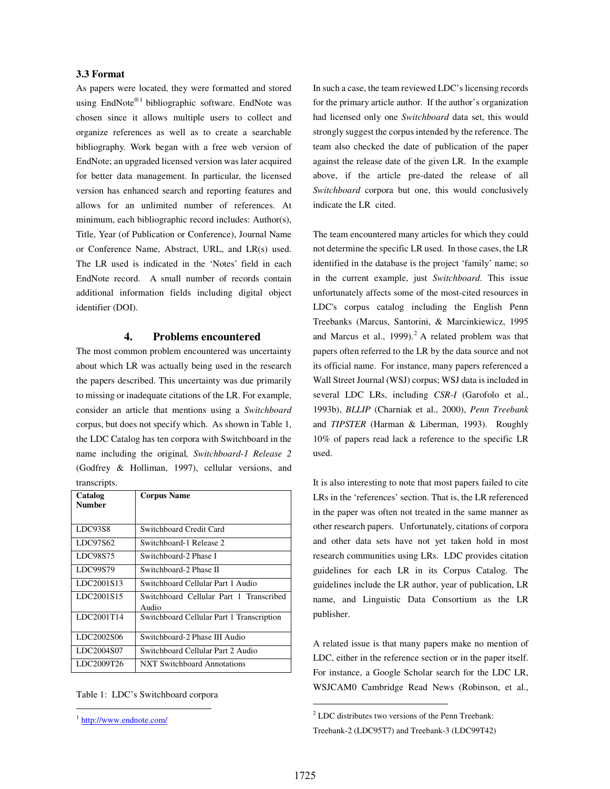## **3.3 Format**

As papers were located, they were formatted and stored using EndNote®<sup>1</sup> bibliographic software. EndNote was chosen since it allows multiple users to collect and organize references as well as to create a searchable bibliography. Work began with a free web version of EndNote; an upgraded licensed version was later acquired for better data management. In particular, the licensed version has enhanced search and reporting features and allows for an unlimited number of references. At minimum, each bibliographic record includes: Author(s), Title, Year (of Publication or Conference), Journal Name or Conference Name, Abstract, URL, and LR(s) used. The LR used is indicated in the 'Notes' field in each EndNote record. A small number of records contain additional information fields including digital object identifier (DOI).

### **4. Problems encountered**

The most common problem encountered was uncertainty about which LR was actually being used in the research the papers described. This uncertainty was due primarily to missing or inadequate citations of the LR. For example, consider an article that mentions using a *Switchboard*  corpus, but does not specify which. As shown in Table 1, the LDC Catalog has ten corpora with Switchboard in the name including the original*, Switchboard-1 Release 2* (Godfrey & Holliman, 1997), cellular versions, and transcripts.

| Catalog<br><b>Number</b> | <b>Corpus Name</b>                               |
|--------------------------|--------------------------------------------------|
| LDC93S8                  | Switchboard Credit Card                          |
| LDC97S62                 | Switchboard-1 Release 2                          |
| LDC98S75                 | Switchboard-2 Phase I                            |
| LDC99S79                 | Switchboard-2 Phase II                           |
| LDC2001S13               | Switchboard Cellular Part 1 Audio                |
| LDC2001S15               | Switchboard Cellular Part 1 Transcribed<br>Audio |
| LDC2001T14               | Switchboard Cellular Part 1 Transcription        |
| LDC2002S06               | Switchboard-2 Phase III Audio                    |
| LDC2004S07               | Switchboard Cellular Part 2 Audio                |
| LDC2009T26               | <b>NXT Switchboard Annotations</b>               |

Table 1: LDC's Switchboard corpora

 $\overline{a}$ 

In such a case, the team reviewed LDC's licensing records for the primary article author. If the author's organization had licensed only one *Switchboard* data set, this would strongly suggest the corpus intended by the reference. The team also checked the date of publication of the paper against the release date of the given LR. In the example above, if the article pre-dated the release of all *Switchboard* corpora but one, this would conclusively indicate the LR cited.

The team encountered many articles for which they could not determine the specific LR used. In those cases, the LR identified in the database is the project 'family' name; so in the current example, just *Switchboard*. This issue unfortunately affects some of the most-cited resources in LDC's corpus catalog including the English Penn Treebanks (Marcus, Santorini, & Marcinkiewicz, 1995 and Marcus et al.,  $1999$ ).<sup>2</sup> A related problem was that papers often referred to the LR by the data source and not its official name. For instance, many papers referenced a Wall Street Journal (WSJ) corpus; WSJ data is included in several LDC LRs, including *CSR-I* (Garofolo et al., 1993b), *BLLIP* (Charniak et al., 2000), *Penn Treebank* and *TIPSTER* (Harman & Liberman, 1993). Roughly 10% of papers read lack a reference to the specific LR used.

It is also interesting to note that most papers failed to cite LRs in the 'references' section. That is, the LR referenced in the paper was often not treated in the same manner as other research papers. Unfortunately, citations of corpora and other data sets have not yet taken hold in most research communities using LRs. LDC provides citation guidelines for each LR in its Corpus Catalog. The guidelines include the LR author, year of publication, LR name, and Linguistic Data Consortium as the LR publisher.

A related issue is that many papers make no mention of LDC, either in the reference section or in the paper itself. For instance, a Google Scholar search for the LDC LR, WSJCAM0 Cambridge Read News (Robinson, et al.,

 $\overline{a}$ 

<sup>&</sup>lt;sup>1</sup> http://www.endnote.com/

 $2^2$  LDC distributes two versions of the Penn Treebank:

Treebank-2 (LDC95T7) and Treebank-3 (LDC99T42)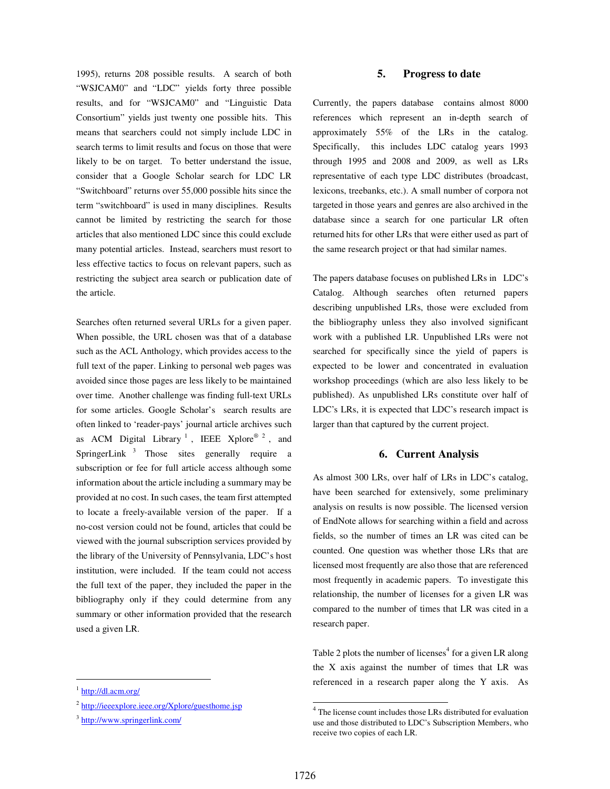1995), returns 208 possible results. A search of both "WSJCAM0" and "LDC" yields forty three possible results, and for "WSJCAM0" and "Linguistic Data Consortium" yields just twenty one possible hits. This means that searchers could not simply include LDC in search terms to limit results and focus on those that were likely to be on target. To better understand the issue, consider that a Google Scholar search for LDC LR "Switchboard" returns over 55,000 possible hits since the term "switchboard" is used in many disciplines. Results cannot be limited by restricting the search for those articles that also mentioned LDC since this could exclude many potential articles. Instead, searchers must resort to less effective tactics to focus on relevant papers, such as restricting the subject area search or publication date of the article.

Searches often returned several URLs for a given paper. When possible, the URL chosen was that of a database such as the ACL Anthology, which provides access to the full text of the paper. Linking to personal web pages was avoided since those pages are less likely to be maintained over time. Another challenge was finding full-text URLs for some articles. Google Scholar's search results are often linked to 'reader-pays' journal article archives such as ACM Digital Library<sup>1</sup>, IEEE Xplore®<sup>2</sup>, and SpringerLink<sup>3</sup> Those sites generally require a subscription or fee for full article access although some information about the article including a summary may be provided at no cost. In such cases, the team first attempted to locate a freely-available version of the paper. If a no-cost version could not be found, articles that could be viewed with the journal subscription services provided by the library of the University of Pennsylvania, LDC's host institution, were included. If the team could not access the full text of the paper, they included the paper in the bibliography only if they could determine from any summary or other information provided that the research used a given LR.

 $\overline{a}$ 

## **5. Progress to date**

Currently, the papers database contains almost 8000 references which represent an in-depth search of approximately 55% of the LRs in the catalog. Specifically, this includes LDC catalog years 1993 through 1995 and 2008 and 2009, as well as LRs representative of each type LDC distributes (broadcast, lexicons, treebanks, etc.). A small number of corpora not targeted in those years and genres are also archived in the database since a search for one particular LR often returned hits for other LRs that were either used as part of the same research project or that had similar names.

The papers database focuses on published LRs in LDC's Catalog. Although searches often returned papers describing unpublished LRs, those were excluded from the bibliography unless they also involved significant work with a published LR. Unpublished LRs were not searched for specifically since the yield of papers is expected to be lower and concentrated in evaluation workshop proceedings (which are also less likely to be published). As unpublished LRs constitute over half of LDC's LRs, it is expected that LDC's research impact is larger than that captured by the current project.

## **6. Current Analysis**

As almost 300 LRs, over half of LRs in LDC's catalog, have been searched for extensively, some preliminary analysis on results is now possible. The licensed version of EndNote allows for searching within a field and across fields, so the number of times an LR was cited can be counted. One question was whether those LRs that are licensed most frequently are also those that are referenced most frequently in academic papers. To investigate this relationship, the number of licenses for a given LR was compared to the number of times that LR was cited in a research paper.

Table 2 plots the number of licenses<sup>4</sup> for a given LR along the X axis against the number of times that LR was referenced in a research paper along the Y axis. As

<sup>&</sup>lt;sup>1</sup> http://dl.acm.org/

<sup>&</sup>lt;sup>2</sup> http://ieeexplore.ieee.org/Xplore/guesthome.jsp

<sup>&</sup>lt;sup>3</sup> http://www.springerlink.com/

 4 The license count includes those LRs distributed for evaluation use and those distributed to LDC's Subscription Members, who receive two copies of each LR.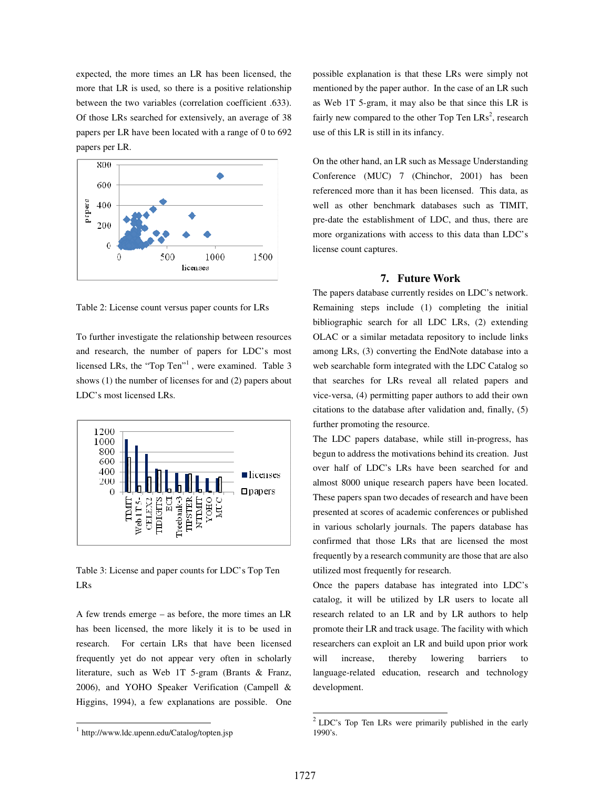expected, the more times an LR has been licensed, the more that LR is used, so there is a positive relationship between the two variables (correlation coefficient .633). Of those LRs searched for extensively, an average of 38 papers per LR have been located with a range of 0 to 692 papers per LR.



Table 2: License count versus paper counts for LRs

To further investigate the relationship between resources and research, the number of papers for LDC's most licensed LRs, the "Top Ten"<sup>1</sup>, were examined. Table 3 shows (1) the number of licenses for and (2) papers about LDC's most licensed LRs.



Table 3: License and paper counts for LDC's Top Ten LRs

A few trends emerge – as before, the more times an LR has been licensed, the more likely it is to be used in research. For certain LRs that have been licensed frequently yet do not appear very often in scholarly literature, such as Web 1T 5-gram (Brants & Franz, 2006), and YOHO Speaker Verification (Campell & Higgins, 1994), a few explanations are possible. One

possible explanation is that these LRs were simply not mentioned by the paper author. In the case of an LR such as Web 1T 5-gram, it may also be that since this LR is fairly new compared to the other Top Ten  $LRs^2$ , research use of this LR is still in its infancy.

On the other hand, an LR such as Message Understanding Conference (MUC) 7 (Chinchor, 2001) has been referenced more than it has been licensed. This data, as well as other benchmark databases such as TIMIT, pre-date the establishment of LDC, and thus, there are more organizations with access to this data than LDC's license count captures.

## **7. Future Work**

The papers database currently resides on LDC's network. Remaining steps include (1) completing the initial bibliographic search for all LDC LRs, (2) extending OLAC or a similar metadata repository to include links among LRs, (3) converting the EndNote database into a web searchable form integrated with the LDC Catalog so that searches for LRs reveal all related papers and vice-versa, (4) permitting paper authors to add their own citations to the database after validation and, finally, (5) further promoting the resource.

The LDC papers database, while still in-progress, has begun to address the motivations behind its creation. Just over half of LDC's LRs have been searched for and almost 8000 unique research papers have been located. These papers span two decades of research and have been presented at scores of academic conferences or published in various scholarly journals. The papers database has confirmed that those LRs that are licensed the most frequently by a research community are those that are also utilized most frequently for research.

Once the papers database has integrated into LDC's catalog, it will be utilized by LR users to locate all research related to an LR and by LR authors to help promote their LR and track usage. The facility with which researchers can exploit an LR and build upon prior work will increase, thereby lowering barriers to language-related education, research and technology development.

 $\overline{a}$ 

<sup>1</sup> http://www.ldc.upenn.edu/Catalog/topten.jsp

 2 LDC's Top Ten LRs were primarily published in the early 1990's.